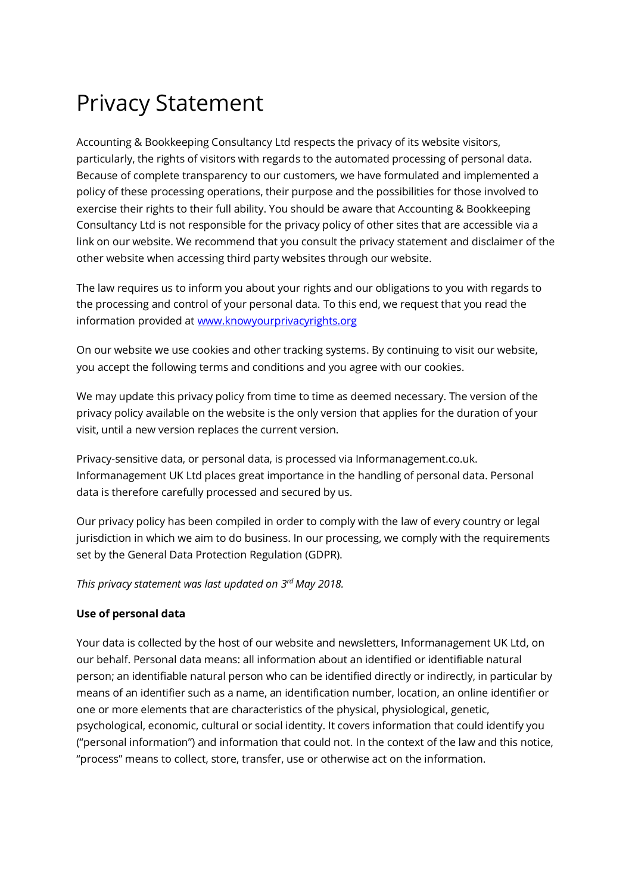# Privacy Statement

Accounting & Bookkeeping Consultancy Ltd respects the privacy of its website visitors, particularly, the rights of visitors with regards to the automated processing of personal data. Because of complete transparency to our customers, we have formulated and implemented a policy of these processing operations, their purpose and the possibilities for those involved to exercise their rights to their full ability. You should be aware that Accounting & Bookkeeping Consultancy Ltd is not responsible for the privacy policy of other sites that are accessible via a link on our website. We recommend that you consult the privacy statement and disclaimer of the other website when accessing third party websites through our website.

The law requires us to inform you about your rights and our obligations to you with regards to the processing and control of your personal data. To this end, we request that you read the information provided at [www.knowyourprivacyrights.org](http://www.knowyourprivacyrights.org/)

On our website we use cookies and other tracking systems. By continuing to visit our website, you accept the following terms and conditions and you agree with our cookies.

We may update this privacy policy from time to time as deemed necessary. The version of the privacy policy available on the website is the only version that applies for the duration of your visit, until a new version replaces the current version.

Privacy-sensitive data, or personal data, is processed via Informanagement.co.uk. Informanagement UK Ltd places great importance in the handling of personal data. Personal data is therefore carefully processed and secured by us.

Our privacy policy has been compiled in order to comply with the law of every country or legal jurisdiction in which we aim to do business. In our processing, we comply with the requirements set by the General Data Protection Regulation (GDPR).

*This privacy statement was last updated on 3 rd May 2018.* 

## **Use of personal data**

Your data is collected by the host of our website and newsletters, Informanagement UK Ltd, on our behalf. Personal data means: all information about an identified or identifiable natural person; an identifiable natural person who can be identified directly or indirectly, in particular by means of an identifier such as a name, an identification number, location, an online identifier or one or more elements that are characteristics of the physical, physiological, genetic, psychological, economic, cultural or social identity. It covers information that could identify you ("personal information") and information that could not. In the context of the law and this notice, "process" means to collect, store, transfer, use or otherwise act on the information.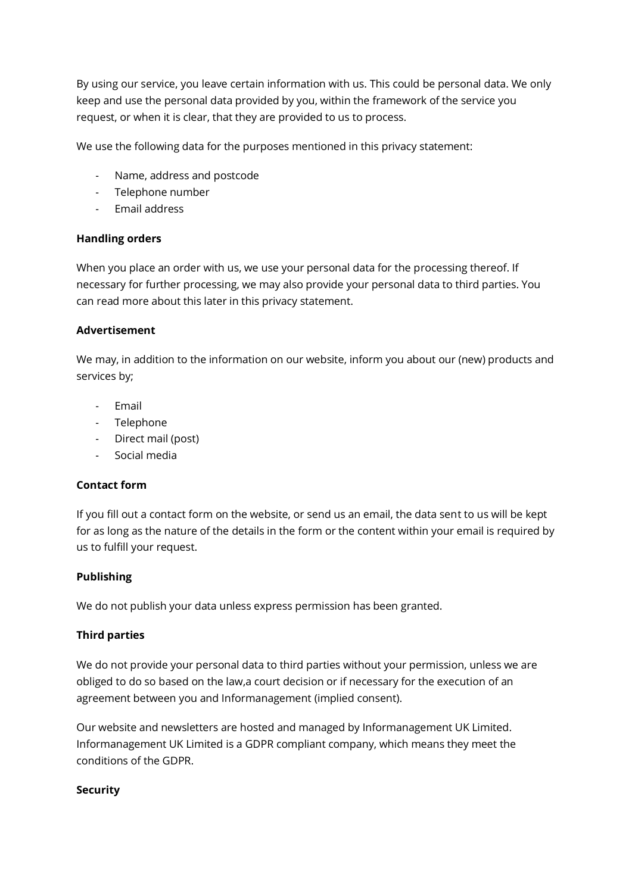By using our service, you leave certain information with us. This could be personal data. We only keep and use the personal data provided by you, within the framework of the service you request, or when it is clear, that they are provided to us to process.

We use the following data for the purposes mentioned in this privacy statement:

- Name, address and postcode
- Telephone number
- Email address

## **Handling orders**

When you place an order with us, we use your personal data for the processing thereof. If necessary for further processing, we may also provide your personal data to third parties. You can read more about this later in this privacy statement.

#### **Advertisement**

We may, in addition to the information on our website, inform you about our (new) products and services by;

- **Fmail**
- Telephone
- Direct mail (post)
- Social media

## **Contact form**

If you fill out a contact form on the website, or send us an email, the data sent to us will be kept for as long as the nature of the details in the form or the content within your email is required by us to fulfill your request.

## **Publishing**

We do not publish your data unless express permission has been granted.

## **Third parties**

We do not provide your personal data to third parties without your permission, unless we are obliged to do so based on the law,a court decision or if necessary for the execution of an agreement between you and Informanagement (implied consent).

Our website and newsletters are hosted and managed by Informanagement UK Limited. Informanagement UK Limited is a GDPR compliant company, which means they meet the conditions of the GDPR.

#### **Security**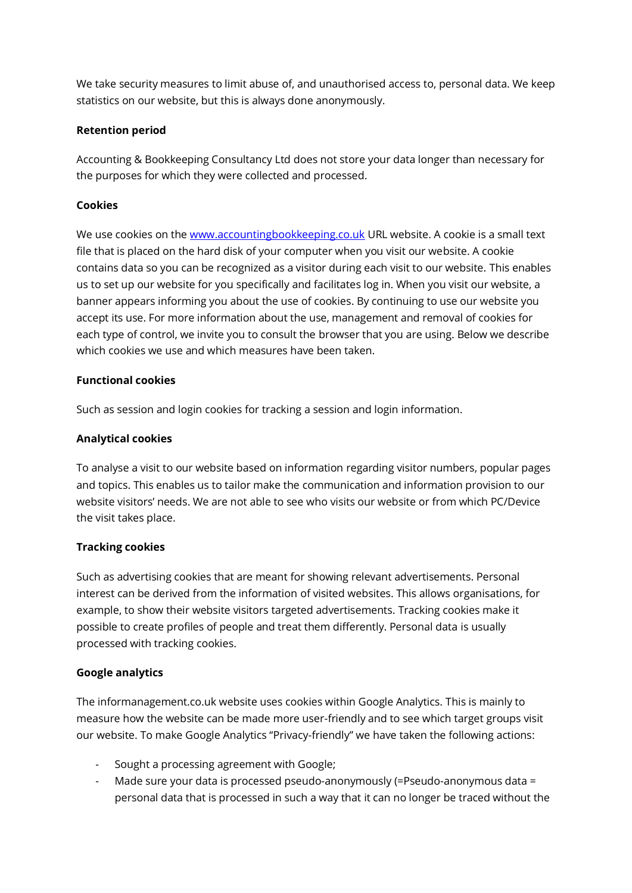We take security measures to limit abuse of, and unauthorised access to, personal data. We keep statistics on our website, but this is always done anonymously.

## **Retention period**

Accounting & Bookkeeping Consultancy Ltd does not store your data longer than necessary for the purposes for which they were collected and processed.

# **Cookies**

We use cookies on the [www.accountingbookkeeping.co.uk](http://www.accountingbookkeeping.co.uk/) URL website. A cookie is a small text file that is placed on the hard disk of your computer when you visit our website. A cookie contains data so you can be recognized as a visitor during each visit to our website. This enables us to set up our website for you specifically and facilitates log in. When you visit our website, a banner appears informing you about the use of cookies. By continuing to use our website you accept its use. For more information about the use, management and removal of cookies for each type of control, we invite you to consult the browser that you are using. Below we describe which cookies we use and which measures have been taken.

## **Functional cookies**

Such as session and login cookies for tracking a session and login information.

## **Analytical cookies**

To analyse a visit to our website based on information regarding visitor numbers, popular pages and topics. This enables us to tailor make the communication and information provision to our website visitors' needs. We are not able to see who visits our website or from which PC/Device the visit takes place.

## **Tracking cookies**

Such as advertising cookies that are meant for showing relevant advertisements. Personal interest can be derived from the information of visited websites. This allows organisations, for example, to show their website visitors targeted advertisements. Tracking cookies make it possible to create profiles of people and treat them differently. Personal data is usually processed with tracking cookies.

## **Google analytics**

The informanagement.co.uk website uses cookies within Google Analytics. This is mainly to measure how the website can be made more user-friendly and to see which target groups visit our website. To make Google Analytics "Privacy-friendly" we have taken the following actions:

- Sought a processing agreement with Google;
- Made sure your data is processed pseudo-anonymously (=Pseudo-anonymous data = personal data that is processed in such a way that it can no longer be traced without the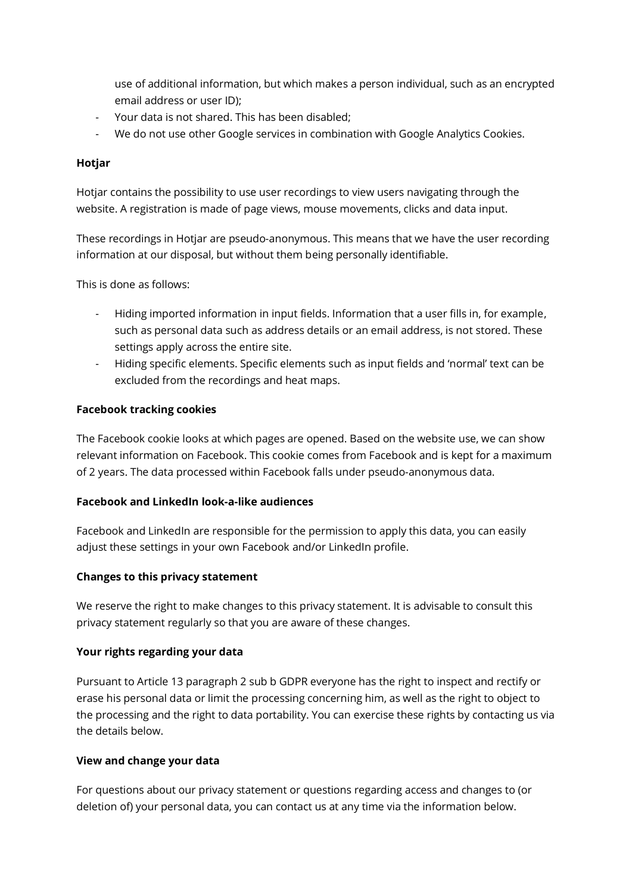use of additional information, but which makes a person individual, such as an encrypted email address or user ID);

- Your data is not shared. This has been disabled;
- We do not use other Google services in combination with Google Analytics Cookies.

## **Hotjar**

Hotjar contains the possibility to use user recordings to view users navigating through the website. A registration is made of page views, mouse movements, clicks and data input.

These recordings in Hotjar are pseudo-anonymous. This means that we have the user recording information at our disposal, but without them being personally identifiable.

This is done as follows:

- Hiding imported information in input fields. Information that a user fills in, for example, such as personal data such as address details or an email address, is not stored. These settings apply across the entire site.
- Hiding specific elements. Specific elements such as input fields and 'normal' text can be excluded from the recordings and heat maps.

#### **Facebook tracking cookies**

The Facebook cookie looks at which pages are opened. Based on the website use, we can show relevant information on Facebook. This cookie comes from Facebook and is kept for a maximum of 2 years. The data processed within Facebook falls under pseudo-anonymous data.

#### **Facebook and LinkedIn look-a-like audiences**

Facebook and LinkedIn are responsible for the permission to apply this data, you can easily adjust these settings in your own Facebook and/or LinkedIn profile.

## **Changes to this privacy statement**

We reserve the right to make changes to this privacy statement. It is advisable to consult this privacy statement regularly so that you are aware of these changes.

## **Your rights regarding your data**

Pursuant to Article 13 paragraph 2 sub b GDPR everyone has the right to inspect and rectify or erase his personal data or limit the processing concerning him, as well as the right to object to the processing and the right to data portability. You can exercise these rights by contacting us via the details below.

## **View and change your data**

For questions about our privacy statement or questions regarding access and changes to (or deletion of) your personal data, you can contact us at any time via the information below.